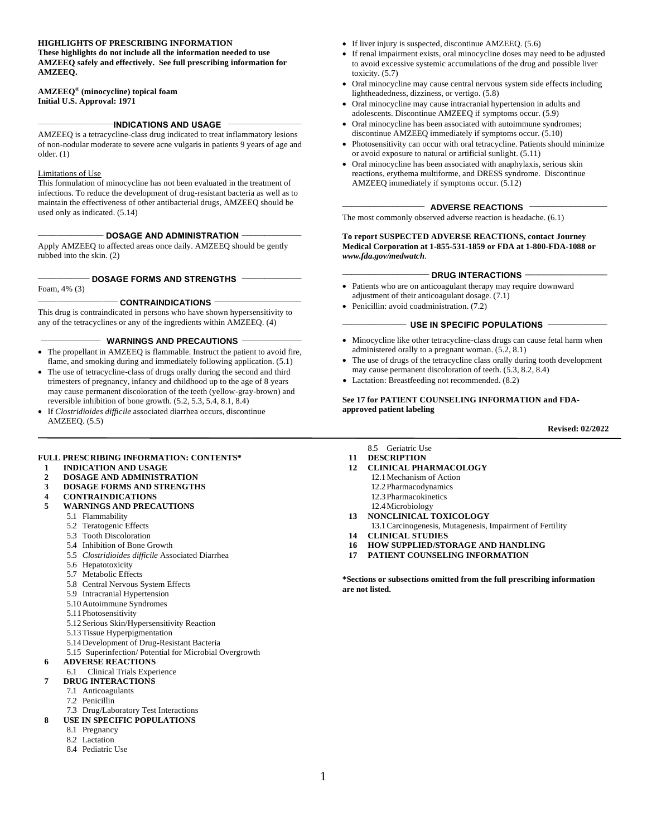#### **HIGHLIGHTS OF PRESCRIBING INFORMATION**

**These highlights do not include all the information needed to use AMZEEQ safely and effectively. See full prescribing information for AMZEEQ.**

#### **AMZEEQ® (minocycline) topical foam Initial U.S. Approval: 1971**

#### **\_\_\_\_\_\_\_\_\_\_\_\_\_\_\_\_INDICATIONS AND USAGE \_\_\_\_\_\_\_\_\_\_\_\_\_\_\_\_**

AMZEEQ is a tetracycline-class drug indicated to treat inflammatory lesions of non-nodular moderate to severe acne vulgaris in patients 9 years of age and older. [\(1\)](#page-1-0)

#### Limitations of Use

This formulation of minocycline has not been evaluated in the treatment of infections. To reduce the development of drug-resistant bacteria as well as to maintain the effectiveness of other antibacterial drugs, AMZEEQ should be used only as indicated. [\(5.14\)](#page-0-0)

#### **\_\_\_\_\_\_\_\_\_\_\_\_\_\_ DOSAGE AND ADMINISTRATION \_\_\_\_\_\_\_\_\_\_\_\_\_**

Apply AMZEEQ to affected areas once daily. AMZEEQ should be gently rubbed into the skin. [\(2\)](#page-1-1)

#### **\_\_\_\_\_\_\_\_\_\_\_ DOSAGE FORMS AND STRENGTHS \_\_\_\_\_\_\_\_\_\_\_\_\_**

Foam, 4% [\(3\)](#page-1-2)

#### **\_\_\_\_\_\_\_\_\_\_\_\_\_\_\_\_\_ CONTRAINDICATIONS \_\_\_\_\_\_\_\_\_\_\_\_\_\_\_\_\_\_\_**

This drug is contraindicated in persons who have shown hypersensitivity to any of the tetracyclines or any of the ingredients within AMZEEQ. [\(4\)](#page-1-3)

#### **\_\_\_\_\_\_\_\_\_\_\_\_\_ WARNINGS AND PRECAUTIONS \_\_\_\_\_\_\_\_\_\_\_\_\_**

- The propellant in AMZEEQ is flammable. Instruct the patient to avoid fire, flame, and smoking during and immediately following application. [\(5.1\)](#page-0-1)
- The use of tetracycline-class of drugs orally during the second and third trimesters of pregnancy, infancy and childhood up to the age of 8 years may cause permanent discoloration of the teeth (yellow-gray-brown) and reversible inhibition of bone growth. [\(5.2,](#page-0-2) [5.3,](#page-0-3) [5.4,](#page-0-4) [8.1,](#page-0-5) [8.4\)](#page-7-0)
- If *Clostridioides difficile* associated diarrhea occurs, discontinue AMZEEQ. [\(5.5\)](#page-0-6)

#### **FULL PRESCRIBING INFORMATION: CONTENTS\***

- **1 [INDICATION AND USAGE](#page-1-0)**
- **2 [DOSAGE AND ADMINISTRATION](#page-1-1)**
- **3 [DOSAGE FORMS AND STRENGTHS](#page-1-2)**
- **4 [CONTRAINDICATIONS](#page-1-3)**
- <span id="page-0-6"></span><span id="page-0-4"></span><span id="page-0-3"></span><span id="page-0-2"></span><span id="page-0-1"></span>**5 [WARNINGS AND PRECAUTIONS](#page-1-4)**
	- 5.1 Flammability
		- 5.2 [Teratogenic Effects](#page-1-5)
		- 5.3 Tooth Discoloration
		- 5.4 Inhibition of Bone Growth
		- 5.5 *Clostridioides difficile* Associated Diarrhea
		- 5.6 Hepatotoxicity
		- 5.7 Metabolic Effects
		- 5.8 Central Nervous System Effects
		- 5.9 [Intracranial Hypertension](#page-2-0)
		- 5.10Autoimmune Syndromes
		- 5.1[1Photosensitivity](#page-3-0)
		- 5.12Serious Skin/Hypersensitivity Reaction
		- 5.1[3Tissue Hyperpigmentation](#page-3-0)
		- 5.1[4Development of Drug-Resistant Bacteria](#page-4-1)
	- 5.15 [Superinfection/](#page-4-2) Potential for Microbial Overgrowth

#### <span id="page-0-7"></span><span id="page-0-0"></span>**6 [ADVERSE REACTIONS](#page-4-3)**

- 6.1 Clinical Trials Experience
- **7 [DRUG INTERACTIONS](#page-5-2)**
	- 7.1 [Anticoagulants](#page-5-0)
		- 7.2 [Penicillin](#page-5-3)
- <span id="page-0-5"></span>7.3 [Drug/Laboratory Test Interactions](#page-5-4)
- <span id="page-0-9"></span><span id="page-0-8"></span>**8 [USE IN SPECIFIC POPULATIONS](#page-5-5)**
	- 8.1 [Pregnancy](#page-5-1)
	- 8.2 [Lactation](#page-7-1)
	- 8.4 [Pediatric Use](#page-7-0)
- If liver injury is suspected, discontinue AMZEEQ. (5.6)
- If renal impairment exists, oral minocycline doses may need to be adjusted to avoid excessive systemic accumulations of the drug and possible liver toxicity. (5.7)
- Oral minocycline may cause central nervous system side effects including lightheadedness, dizziness, or vertigo. (5.8)
- Oral minocycline may cause intracranial hypertension in adults and adolescents. Discontinue AMZEEQ if symptoms occur. [\(5.9\)](#page-0-7)
- Oral minocycline has been associated with autoimmune syndromes; discontinue AMZEEQ immediately if symptoms occur. (5.10)
- Photosensitivity can occur with oral tetracycline. Patients should minimize or avoid exposure to natural or artificial sunlight. (5.11)
- Oral minocycline has been associated with anaphylaxis, serious skin reactions, erythema multiforme, and DRESS syndrome. Discontinue AMZEEQ immediately if symptoms occur. (5.12)

#### **\_\_\_\_\_\_\_\_\_\_\_\_\_\_\_\_\_\_ ADVERSE REACTIONS \_\_\_\_\_\_\_\_\_\_\_\_\_\_\_\_\_**

The most commonly observed adverse reaction is headache. [\(6.1\)](#page-4-0)

#### **To report SUSPECTED ADVERSE REACTIONS, contact Journey Medical Corporation at 1-855-531-1859 or FDA at 1-800-FDA-1088 or** *www.fda.gov/medwatch*.

#### **\_\_\_\_\_\_\_\_\_\_\_\_\_\_\_\_\_\_\_ DRUG INTERACTIONS \_\_\_\_\_\_\_\_\_\_\_\_\_\_\_\_\_\_**

- Patients who are on anticoagulant therapy may require downward adjustment of their anticoagulant dosage. [\(7.1\)](#page-5-0)
- Penicillin: avoid coadministration. (7.2)

#### **\_\_\_\_\_\_\_\_\_\_\_\_\_\_ USE IN SPECIFIC POPULATIONS \_\_\_\_\_\_\_\_\_\_\_\_\_**

- Minocycline like other tetracycline-class drugs can cause fetal harm when administered orally to a pregnant woman. [\(5.2,](#page-0-2) [8.1\)](#page-5-1)
- The use of drugs of the tetracycline class orally during tooth development may cause permanent discoloration of teeth. [\(5.3,](#page-0-3) [8.2,](#page-7-1) [8.4\)](#page-0-8)
- Lactation: Breastfeeding not recommended. [\(8.2\)](#page-0-9)

**Se[e 17](#page-11-0) for PATIENT COUNSELING INFORMATION and FDAapproved patient labeling**

#### **Revised: 02/2022**

- 8.5 [Geriatric Use](#page-7-2)
- **11 [DESCRIPTION](#page-7-3)**
- **12 [CLINICAL PHARMACOLOGY](#page-8-0)**
	- 12.[1Mechanism of Action](#page-8-1)
	- 12.[2Pharmacodynamics](#page-8-2)
	- 12.[3Pharmacokinetics](#page-8-3)
	- 12.4Microbiology
- <span id="page-0-12"></span><span id="page-0-11"></span>**13 [NONCLINICAL TOXICOLOGY](#page-9-0)**
- 13.[1Carcinogenesis, Mutagenesis, Impairment of Fertility](#page-9-1)
- <span id="page-0-10"></span>**14 [CLINICAL STUDIES](#page-9-2)**
- **16 [HOW SUPPLIED/STORAGE AND HANDLING](#page-10-0)**
- **17 [PATIENT COUNSELING INFORMATION](#page-11-0)**

**\*Sections or subsections omitted from the full prescribing information are not listed.**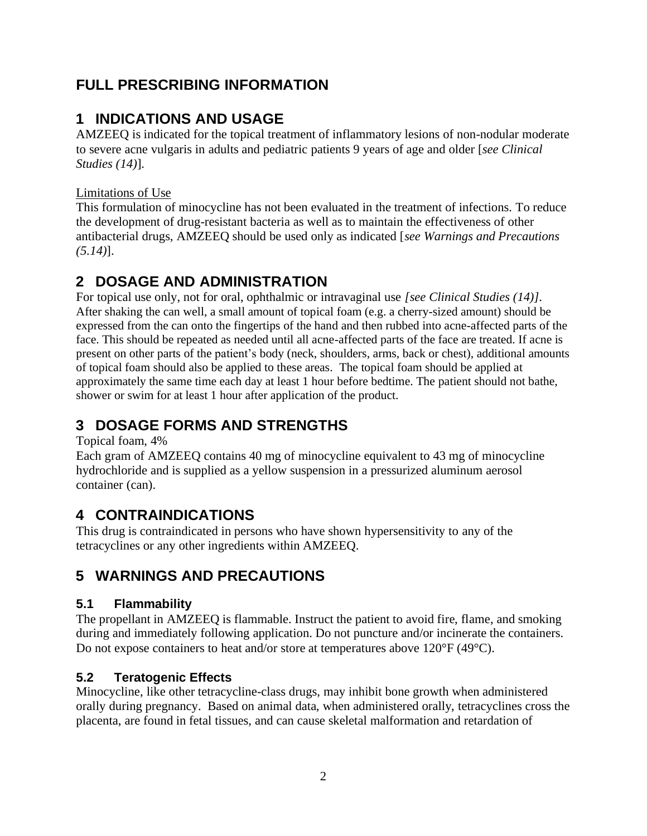# **FULL PRESCRIBING INFORMATION**

# <span id="page-1-0"></span>**1 INDICATIONS AND USAGE**

AMZEEQ is indicated for the topical treatment of inflammatory lesions of non-nodular moderate to severe acne vulgaris in adults and pediatric patients 9 years of age and older [*see Clinical Studies [\(14\)](#page-0-10)*].

Limitations of Use

This formulation of minocycline has not been evaluated in the treatment of infections. To reduce the development of drug-resistant bacteria as well as to maintain the effectiveness of other antibacterial drugs, AMZEEQ should be used only as indicated [*see Warnings and Precautions [\(5.14\)](#page-0-0)*].

# <span id="page-1-1"></span>**2 DOSAGE AND ADMINISTRATION**

For topical use only, not for oral, ophthalmic or intravaginal use *[see Clinical Studies [\(14\)](#page-9-2)]*. After shaking the can well, a small amount of topical foam (e.g. a cherry-sized amount) should be expressed from the can onto the fingertips of the hand and then rubbed into acne-affected parts of the face. This should be repeated as needed until all acne-affected parts of the face are treated. If acne is present on other parts of the patient's body (neck, shoulders, arms, back or chest), additional amounts of topical foam should also be applied to these areas. The topical foam should be applied at approximately the same time each day at least 1 hour before bedtime. The patient should not bathe, shower or swim for at least 1 hour after application of the product.

# <span id="page-1-2"></span>**3 DOSAGE FORMS AND STRENGTHS**

Topical foam, 4%

Each gram of AMZEEQ contains 40 mg of minocycline equivalent to 43 mg of minocycline hydrochloride and is supplied as a yellow suspension in a pressurized aluminum aerosol container (can).

# <span id="page-1-3"></span>**4 CONTRAINDICATIONS**

This drug is contraindicated in persons who have shown hypersensitivity to any of the tetracyclines or any other ingredients within AMZEEQ.

# <span id="page-1-4"></span>**5 WARNINGS AND PRECAUTIONS**

# <span id="page-1-5"></span>**5.1 Flammability**

The propellant in AMZEEQ is flammable. Instruct the patient to avoid fire, flame, and smoking during and immediately following application. Do not puncture and/or incinerate the containers. Do not expose containers to heat and/or store at temperatures above 120°F (49°C).

# **5.2 Teratogenic Effects**

Minocycline, like other tetracycline-class drugs, may inhibit bone growth when administered orally during pregnancy. Based on animal data, when administered orally, tetracyclines cross the placenta, are found in fetal tissues, and can cause skeletal malformation and retardation of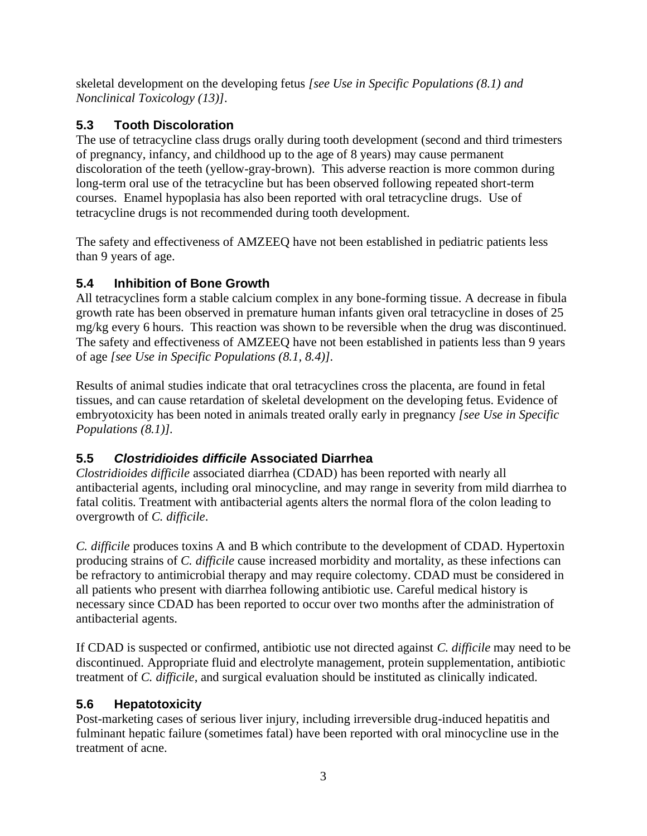skeletal development on the developing fetus *[see Use in Specific Populations [\(8.1\)](#page-5-1) and Nonclinical Toxicology [\(13\)](#page-0-11)]*.

# <span id="page-2-0"></span>**5.3 Tooth Discoloration**

The use of tetracycline class drugs orally during tooth development (second and third trimesters of pregnancy, infancy, and childhood up to the age of 8 years) may cause permanent discoloration of the teeth (yellow-gray-brown). This adverse reaction is more common during long-term oral use of the tetracycline but has been observed following repeated short-term courses. Enamel hypoplasia has also been reported with oral tetracycline drugs. Use of tetracycline drugs is not recommended during tooth development.

The safety and effectiveness of AMZEEQ have not been established in pediatric patients less than 9 years of age.

# **5.4 Inhibition of Bone Growth**

All tetracyclines form a stable calcium complex in any bone-forming tissue. A decrease in fibula growth rate has been observed in premature human infants given oral tetracycline in doses of 25 mg/kg every 6 hours. This reaction was shown to be reversible when the drug was discontinued. The safety and effectiveness of AMZEEQ have not been established in patients less than 9 years of age *[see Use in Specific Populations [\(8.1,](#page-5-1) [8.4\)](#page-7-0)].*

Results of animal studies indicate that oral tetracyclines cross the placenta, are found in fetal tissues, and can cause retardation of skeletal development on the developing fetus. Evidence of embryotoxicity has been noted in animals treated orally early in pregnancy *[see Use in Specific Populations [\(8.1\)](#page-5-1)].*

# **5.5** *Clostridioides difficile* **Associated Diarrhea**

*Clostridioides difficile* associated diarrhea (CDAD) has been reported with nearly all antibacterial agents, including oral minocycline, and may range in severity from mild diarrhea to fatal colitis. Treatment with antibacterial agents alters the normal flora of the colon leading to overgrowth of *C. difficile*.

*C. difficile* produces toxins A and B which contribute to the development of CDAD. Hypertoxin producing strains of *C. difficile* cause increased morbidity and mortality, as these infections can be refractory to antimicrobial therapy and may require colectomy. CDAD must be considered in all patients who present with diarrhea following antibiotic use. Careful medical history is necessary since CDAD has been reported to occur over two months after the administration of antibacterial agents.

If CDAD is suspected or confirmed, antibiotic use not directed against *C. difficile* may need to be discontinued. Appropriate fluid and electrolyte management, protein supplementation, antibiotic treatment of *C. difficile*, and surgical evaluation should be instituted as clinically indicated.

# **5.6 Hepatotoxicity**

Post-marketing cases of serious liver injury, including irreversible drug-induced hepatitis and fulminant hepatic failure (sometimes fatal) have been reported with oral minocycline use in the treatment of acne.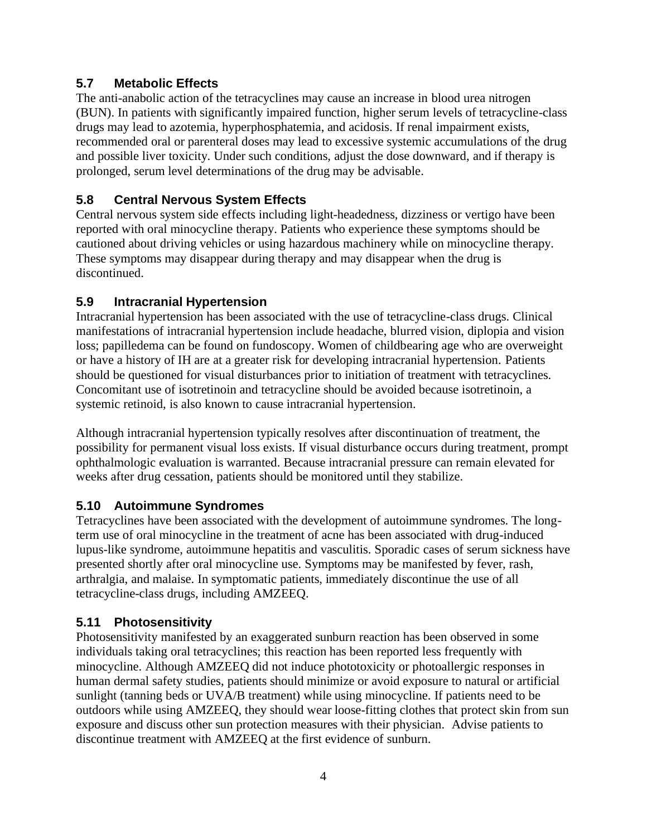## **5.7 Metabolic Effects**

The anti-anabolic action of the tetracyclines may cause an increase in blood urea nitrogen (BUN). In patients with significantly impaired function, higher serum levels of tetracycline-class drugs may lead to azotemia, hyperphosphatemia, and acidosis. If renal impairment exists, recommended oral or parenteral doses may lead to excessive systemic accumulations of the drug and possible liver toxicity. Under such conditions, adjust the dose downward, and if therapy is prolonged, serum level determinations of the drug may be advisable.

## **5.8 Central Nervous System Effects**

Central nervous system side effects including light-headedness, dizziness or vertigo have been reported with oral minocycline therapy. Patients who experience these symptoms should be cautioned about driving vehicles or using hazardous machinery while on minocycline therapy. These symptoms may disappear during therapy and may disappear when the drug is discontinued.

## **5.9 Intracranial Hypertension**

Intracranial hypertension has been associated with the use of tetracycline-class drugs. Clinical manifestations of intracranial hypertension include headache, blurred vision, diplopia and vision loss; papilledema can be found on fundoscopy. Women of childbearing age who are overweight or have a history of IH are at a greater risk for developing intracranial hypertension. Patients should be questioned for visual disturbances prior to initiation of treatment with tetracyclines. Concomitant use of isotretinoin and tetracycline should be avoided because isotretinoin, a systemic retinoid, is also known to cause intracranial hypertension.

Although intracranial hypertension typically resolves after discontinuation of treatment, the possibility for permanent visual loss exists. If visual disturbance occurs during treatment, prompt ophthalmologic evaluation is warranted. Because intracranial pressure can remain elevated for weeks after drug cessation, patients should be monitored until they stabilize.

### <span id="page-3-0"></span>**5.10 Autoimmune Syndromes**

Tetracyclines have been associated with the development of autoimmune syndromes. The longterm use of oral minocycline in the treatment of acne has been associated with drug-induced lupus-like syndrome, autoimmune hepatitis and vasculitis. Sporadic cases of serum sickness have presented shortly after oral minocycline use. Symptoms may be manifested by fever, rash, arthralgia, and malaise. In symptomatic patients, immediately discontinue the use of all tetracycline-class drugs, including AMZEEQ.

## **5.11 Photosensitivity**

Photosensitivity manifested by an exaggerated sunburn reaction has been observed in some individuals taking oral tetracyclines; this reaction has been reported less frequently with minocycline. Although AMZEEQ did not induce phototoxicity or photoallergic responses in human dermal safety studies, patients should minimize or avoid exposure to natural or artificial sunlight (tanning beds or UVA/B treatment) while using minocycline. If patients need to be outdoors while using AMZEEQ, they should wear loose-fitting clothes that protect skin from sun exposure and discuss other sun protection measures with their physician. Advise patients to discontinue treatment with AMZEEQ at the first evidence of sunburn.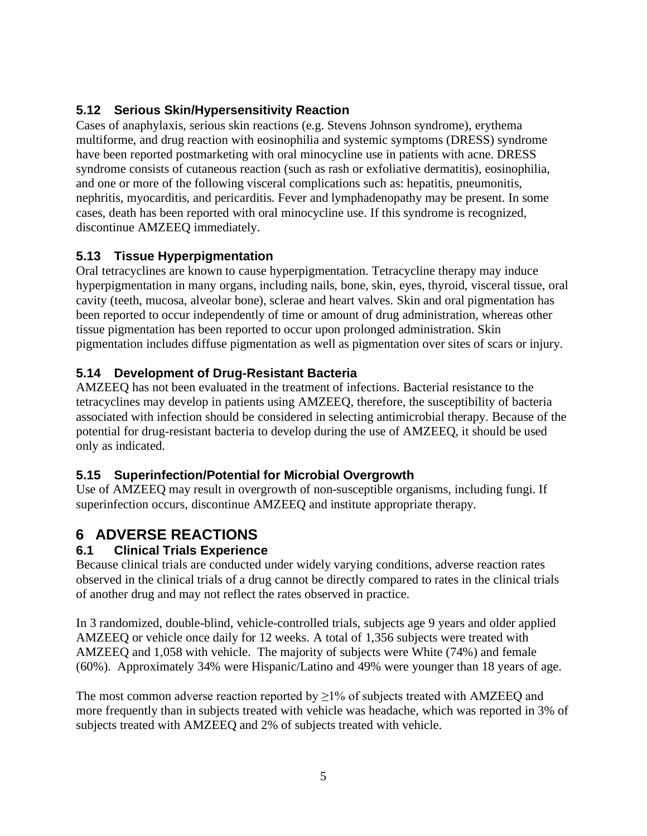# **5.12 Serious Skin/Hypersensitivity Reaction**

Cases of anaphylaxis, serious skin reactions (e.g. Stevens Johnson syndrome), erythema multiforme, and drug reaction with eosinophilia and systemic symptoms (DRESS) syndrome have been reported postmarketing with oral minocycline use in patients with acne. DRESS syndrome consists of cutaneous reaction (such as rash or exfoliative dermatitis), eosinophilia, and one or more of the following visceral complications such as: hepatitis, pneumonitis, nephritis, myocarditis, and pericarditis. Fever and lymphadenopathy may be present. In some cases, death has been reported with oral minocycline use. If this syndrome is recognized, discontinue AMZEEQ immediately.

# **5.13 Tissue Hyperpigmentation**

Oral tetracyclines are known to cause hyperpigmentation. Tetracycline therapy may induce hyperpigmentation in many organs, including nails, bone, skin, eyes, thyroid, visceral tissue, oral cavity (teeth, mucosa, alveolar bone), sclerae and heart valves. Skin and oral pigmentation has been reported to occur independently of time or amount of drug administration, whereas other tissue pigmentation has been reported to occur upon prolonged administration. Skin pigmentation includes diffuse pigmentation as well as pigmentation over sites of scars or injury.

## <span id="page-4-1"></span>**5.14 Development of Drug-Resistant Bacteria**

AMZEEQ has not been evaluated in the treatment of infections. Bacterial resistance to the tetracyclines may develop in patients using AMZEEQ, therefore, the susceptibility of bacteria associated with infection should be considered in selecting antimicrobial therapy. Because of the potential for drug-resistant bacteria to develop during the use of AMZEEQ, it should be used only as indicated.

## <span id="page-4-2"></span>**5.15 Superinfection/Potential for Microbial Overgrowth**

Use of AMZEEQ may result in overgrowth of non-susceptible organisms, including fungi. If superinfection occurs, discontinue AMZEEQ and institute appropriate therapy.

# <span id="page-4-3"></span>**6 ADVERSE REACTIONS**

## <span id="page-4-0"></span>**6.1 Clinical Trials Experience**

Because clinical trials are conducted under widely varying conditions, adverse reaction rates observed in the clinical trials of a drug cannot be directly compared to rates in the clinical trials of another drug and may not reflect the rates observed in practice.

In 3 randomized, double-blind, vehicle-controlled trials, subjects age 9 years and older applied AMZEEQ or vehicle once daily for 12 weeks. A total of 1,356 subjects were treated with AMZEEQ and 1,058 with vehicle. The majority of subjects were White (74%) and female (60%). Approximately 34% were Hispanic/Latino and 49% were younger than 18 years of age.

The most common adverse reaction reported by  $\geq$ 1% of subjects treated with AMZEEQ and more frequently than in subjects treated with vehicle was headache, which was reported in 3% of subjects treated with AMZEEQ and 2% of subjects treated with vehicle.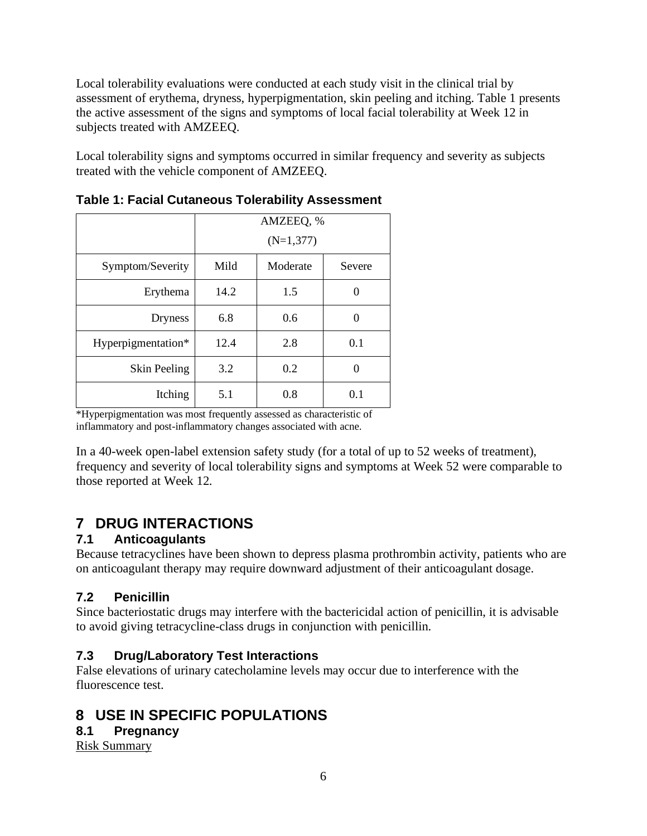Local tolerability evaluations were conducted at each study visit in the clinical trial by assessment of erythema, dryness, hyperpigmentation, skin peeling and itching. Table 1 presents the active assessment of the signs and symptoms of local facial tolerability at Week 12 in subjects treated with AMZEEQ.

Local tolerability signs and symptoms occurred in similar frequency and severity as subjects treated with the vehicle component of AMZEEQ.

|                     | AMZEEQ, %<br>$(N=1,377)$ |          |          |  |
|---------------------|--------------------------|----------|----------|--|
| Symptom/Severity    | Mild                     | Moderate | Severe   |  |
| Erythema            | 14.2                     | 1.5      |          |  |
| <b>Dryness</b>      | 6.8                      | 0.6      |          |  |
| Hyperpigmentation*  | 12.4                     | 2.8      | 0.1      |  |
| <b>Skin Peeling</b> | 3.2                      | 0.2      | $\Omega$ |  |
| Itching             | 5.1                      | 0.8      | 0.1      |  |

**Table 1: Facial Cutaneous Tolerability Assessment**

\*Hyperpigmentation was most frequently assessed as characteristic of inflammatory and post-inflammatory changes associated with acne.

In a 40-week open-label extension safety study (for a total of up to 52 weeks of treatment), frequency and severity of local tolerability signs and symptoms at Week 52 were comparable to those reported at Week 12.

# <span id="page-5-2"></span>**7 DRUG INTERACTIONS**

# <span id="page-5-0"></span>**7.1 Anticoagulants**

Because tetracyclines have been shown to depress plasma prothrombin activity, patients who are on anticoagulant therapy may require downward adjustment of their anticoagulant dosage.

# <span id="page-5-3"></span>**7.2 Penicillin**

Since bacteriostatic drugs may interfere with the bactericidal action of penicillin, it is advisable to avoid giving tetracycline-class drugs in conjunction with penicillin.

# <span id="page-5-4"></span>**7.3 Drug/Laboratory Test Interactions**

False elevations of urinary catecholamine levels may occur due to interference with the fluorescence test.

# <span id="page-5-5"></span>**8 USE IN SPECIFIC POPULATIONS**

## <span id="page-5-1"></span>**8.1 Pregnancy**

Risk Summary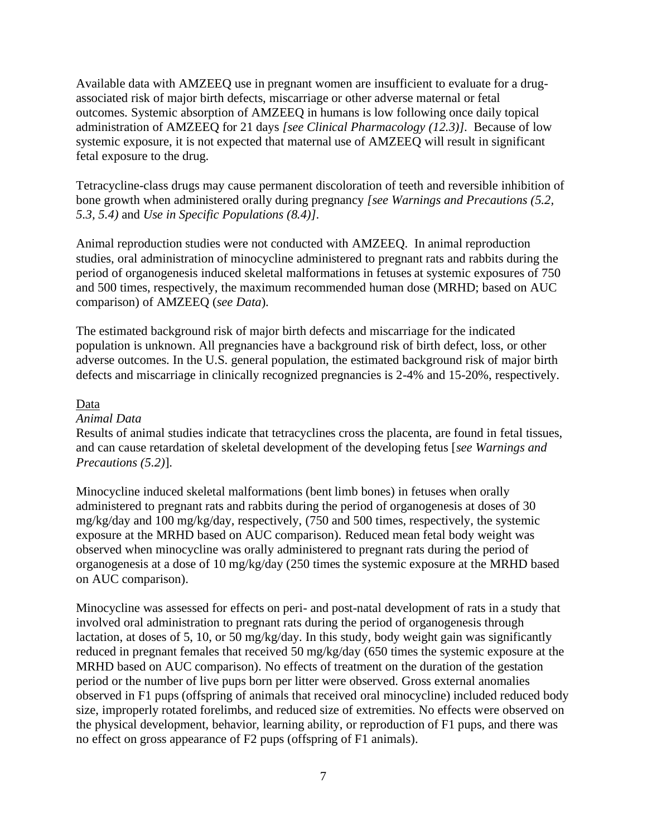Available data with AMZEEQ use in pregnant women are insufficient to evaluate for a drugassociated risk of major birth defects, miscarriage or other adverse maternal or fetal outcomes. Systemic absorption of AMZEEQ in humans is low following once daily topical administration of AMZEEQ for 21 days *[see Clinical Pharmacology [\(12.3\)](#page-8-3)]*. Because of low systemic exposure, it is not expected that maternal use of AMZEEQ will result in significant fetal exposure to the drug.

Tetracycline-class drugs may cause permanent discoloration of teeth and reversible inhibition of bone growth when administered orally during pregnancy *[see Warnings and Precautions [\(5.2,](#page-0-2) [5.3,](#page-0-3) [5.4\)](#page-0-4)* and *Use in Specific Populations [\(8.4\)](#page-7-0)]*.

Animal reproduction studies were not conducted with AMZEEQ. In animal reproduction studies, oral administration of minocycline administered to pregnant rats and rabbits during the period of organogenesis induced skeletal malformations in fetuses at systemic exposures of 750 and 500 times, respectively, the maximum recommended human dose (MRHD; based on AUC comparison) of AMZEEQ (*see Data*).

The estimated background risk of major birth defects and miscarriage for the indicated population is unknown. All pregnancies have a background risk of birth defect, loss, or other adverse outcomes. In the U.S. general population, the estimated background risk of major birth defects and miscarriage in clinically recognized pregnancies is 2-4% and 15-20%, respectively.

### Data

### *Animal Data*

Results of animal studies indicate that tetracyclines cross the placenta, are found in fetal tissues, and can cause retardation of skeletal development of the developing fetus [*see Warnings and Precautions [\(5.2\)](#page-0-2)*].

Minocycline induced skeletal malformations (bent limb bones) in fetuses when orally administered to pregnant rats and rabbits during the period of organogenesis at doses of 30 mg/kg/day and 100 mg/kg/day, respectively, (750 and 500 times, respectively, the systemic exposure at the MRHD based on AUC comparison). Reduced mean fetal body weight was observed when minocycline was orally administered to pregnant rats during the period of organogenesis at a dose of 10 mg/kg/day (250 times the systemic exposure at the MRHD based on AUC comparison).

Minocycline was assessed for effects on peri- and post-natal development of rats in a study that involved oral administration to pregnant rats during the period of organogenesis through lactation, at doses of 5, 10, or 50 mg/kg/day. In this study, body weight gain was significantly reduced in pregnant females that received 50 mg/kg/day (650 times the systemic exposure at the MRHD based on AUC comparison). No effects of treatment on the duration of the gestation period or the number of live pups born per litter were observed. Gross external anomalies observed in F1 pups (offspring of animals that received oral minocycline) included reduced body size, improperly rotated forelimbs, and reduced size of extremities. No effects were observed on the physical development, behavior, learning ability, or reproduction of F1 pups, and there was no effect on gross appearance of F2 pups (offspring of F1 animals).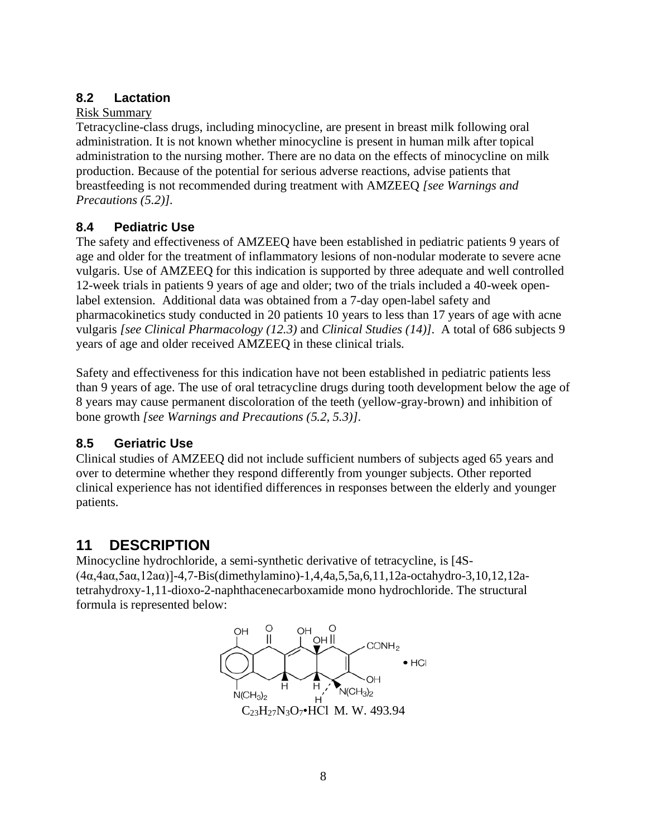# <span id="page-7-1"></span>**8.2 Lactation**

## Risk Summary

Tetracycline-class drugs, including minocycline, are present in breast milk following oral administration. It is not known whether minocycline is present in human milk after topical administration to the nursing mother. There are no data on the effects of minocycline on milk production. Because of the potential for serious adverse reactions, advise patients that breastfeeding is not recommended during treatment with AMZEEQ *[see Warnings and Precautions [\(5.2\)](#page-0-2)].*

# <span id="page-7-0"></span>**8.4 Pediatric Use**

The safety and effectiveness of AMZEEQ have been established in pediatric patients 9 years of age and older for the treatment of inflammatory lesions of non-nodular moderate to severe acne vulgaris. Use of AMZEEQ for this indication is supported by three adequate and well controlled 12-week trials in patients 9 years of age and older; two of the trials included a 40-week openlabel extension. Additional data was obtained from a 7-day open-label safety and pharmacokinetics study conducted in 20 patients 10 years to less than 17 years of age with acne vulgaris *[see Clinical Pharmacology [\(12.3\)](#page-0-12)* and *Clinical Studies [\(14\)](#page-0-10)]*. A total of 686 subjects 9 years of age and older received AMZEEQ in these clinical trials.

Safety and effectiveness for this indication have not been established in pediatric patients less than 9 years of age. The use of oral tetracycline drugs during tooth development below the age of 8 years may cause permanent discoloration of the teeth (yellow-gray-brown) and inhibition of bone growth *[see Warnings and Precautions [\(5.2,](#page-0-2) [5.3\)](#page-0-3)]*.

# <span id="page-7-2"></span>**8.5 Geriatric Use**

Clinical studies of AMZEEQ did not include sufficient numbers of subjects aged 65 years and over to determine whether they respond differently from younger subjects. Other reported clinical experience has not identified differences in responses between the elderly and younger patients.

# <span id="page-7-3"></span>**11 DESCRIPTION**

Minocycline hydrochloride, a semi-synthetic derivative of tetracycline, is [4S- (4α,4aα,5aα,12aα)]-4,7-Bis(dimethylamino)-1,4,4a,5,5a,6,11,12a-octahydro-3,10,12,12atetrahydroxy-1,11-dioxo-2-naphthacenecarboxamide mono hydrochloride. The structural formula is represented below:

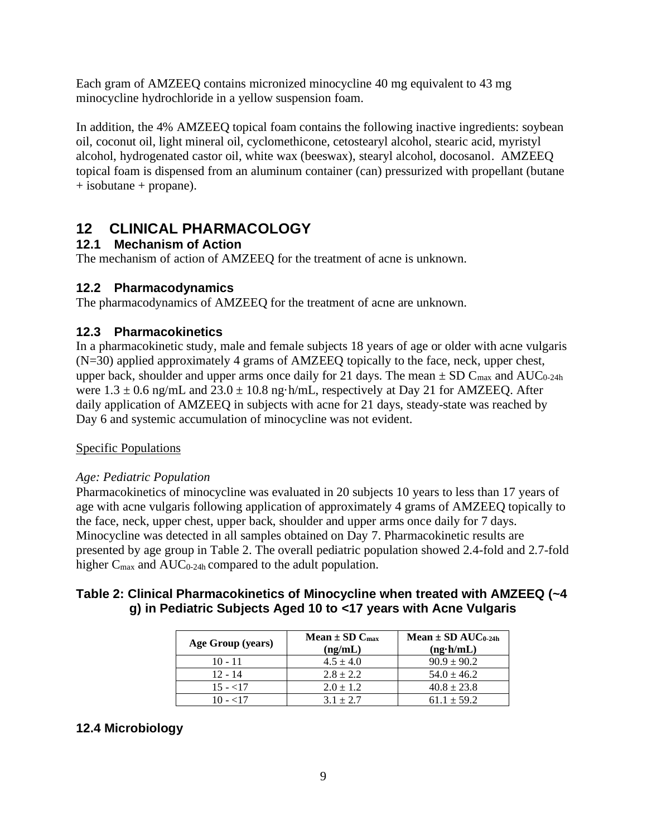Each gram of AMZEEQ contains micronized minocycline 40 mg equivalent to 43 mg minocycline hydrochloride in a yellow suspension foam.

In addition, the 4% AMZEEQ topical foam contains the following inactive ingredients: soybean oil, coconut oil, light mineral oil, cyclomethicone, cetostearyl alcohol, stearic acid, myristyl alcohol, hydrogenated castor oil, white wax (beeswax), stearyl alcohol, docosanol. AMZEEQ topical foam is dispensed from an aluminum container (can) pressurized with propellant (butane + isobutane + propane).

# <span id="page-8-0"></span>**12 CLINICAL PHARMACOLOGY**

# <span id="page-8-1"></span>**12.1 Mechanism of Action**

The mechanism of action of AMZEEQ for the treatment of acne is unknown.

# <span id="page-8-2"></span>**12.2 Pharmacodynamics**

The pharmacodynamics of AMZEEQ for the treatment of acne are unknown.

# <span id="page-8-3"></span>**12.3 Pharmacokinetics**

In a pharmacokinetic study, male and female subjects 18 years of age or older with acne vulgaris (N=30) applied approximately 4 grams of AMZEEQ topically to the face, neck, upper chest, upper back, shoulder and upper arms once daily for 21 days. The mean  $\pm$  SD C<sub>max</sub> and AUC<sub>0-24h</sub> were  $1.3 \pm 0.6$  ng/mL and  $23.0 \pm 10.8$  ng·h/mL, respectively at Day 21 for AMZEEQ. After daily application of AMZEEQ in subjects with acne for 21 days, steady-state was reached by Day 6 and systemic accumulation of minocycline was not evident.

## Specific Populations

## *Age: Pediatric Population*

Pharmacokinetics of minocycline was evaluated in 20 subjects 10 years to less than 17 years of age with acne vulgaris following application of approximately 4 grams of AMZEEQ topically to the face, neck, upper chest, upper back, shoulder and upper arms once daily for 7 days. Minocycline was detected in all samples obtained on Day 7. Pharmacokinetic results are presented by age group in Table 2. The overall pediatric population showed 2.4-fold and 2.7-fold higher  $C_{\text{max}}$  and  $AUC_{0-24h}$  compared to the adult population.

## **Table 2: Clinical Pharmacokinetics of Minocycline when treated with AMZEEQ (~4 g) in Pediatric Subjects Aged 10 to <17 years with Acne Vulgaris**

| Age Group (years) | Mean $\pm$ SD C <sub>max</sub> | Mean $\pm$ SD AUC <sub>0-24h</sub> |  |  |
|-------------------|--------------------------------|------------------------------------|--|--|
|                   | (ng/mL)                        | $(ng \cdot h/mL)$                  |  |  |
| $10 - 11$         | $4.5 \pm 4.0$                  | $90.9 \pm 90.2$                    |  |  |
| $12 - 14$         | $2.8 + 2.2$                    | $54.0 \pm 46.2$                    |  |  |
| $15 - 17$         | $2.0 \pm 1.2$                  | $40.8 \pm 23.8$                    |  |  |
| 10 - <17          | $3.1 + 2.7$                    | $61.1 \pm 59.2$                    |  |  |

# **12.4 Microbiology**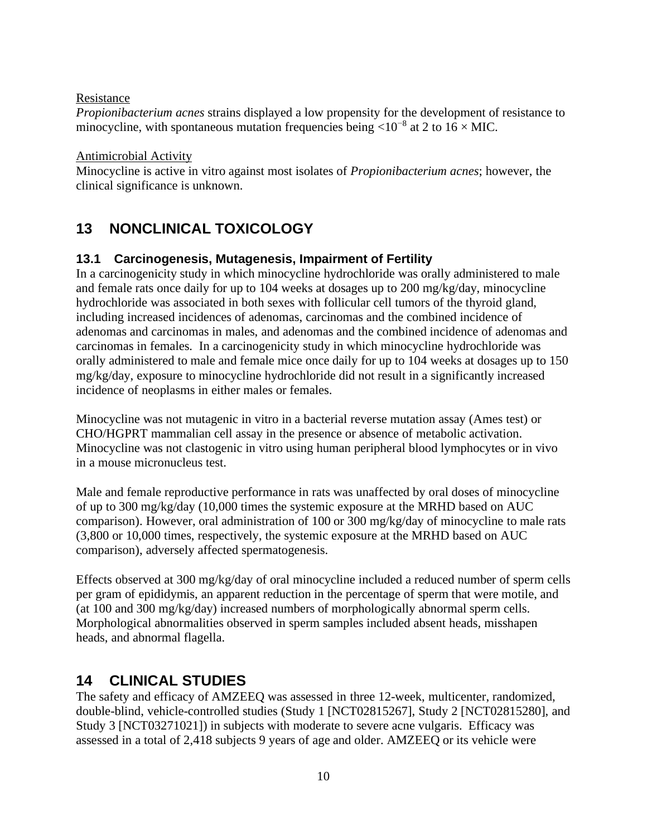### Resistance

*Propionibacterium acnes* strains displayed a low propensity for the development of resistance to minocycline, with spontaneous mutation frequencies being  $\langle 10^{-8}$  at 2 to 16 × MIC.

### Antimicrobial Activity

Minocycline is active in vitro against most isolates of *Propionibacterium acnes*; however, the clinical significance is unknown.

# <span id="page-9-0"></span>**13 NONCLINICAL TOXICOLOGY**

## <span id="page-9-1"></span>**13.1 Carcinogenesis, Mutagenesis, Impairment of Fertility**

In a carcinogenicity study in which minocycline hydrochloride was orally administered to male and female rats once daily for up to 104 weeks at dosages up to 200 mg/kg/day, minocycline hydrochloride was associated in both sexes with follicular cell tumors of the thyroid gland, including increased incidences of adenomas, carcinomas and the combined incidence of adenomas and carcinomas in males, and adenomas and the combined incidence of adenomas and carcinomas in females. In a carcinogenicity study in which minocycline hydrochloride was orally administered to male and female mice once daily for up to 104 weeks at dosages up to 150 mg/kg/day, exposure to minocycline hydrochloride did not result in a significantly increased incidence of neoplasms in either males or females.

Minocycline was not mutagenic in vitro in a bacterial reverse mutation assay (Ames test) or CHO/HGPRT mammalian cell assay in the presence or absence of metabolic activation. Minocycline was not clastogenic in vitro using human peripheral blood lymphocytes or in vivo in a mouse micronucleus test.

Male and female reproductive performance in rats was unaffected by oral doses of minocycline of up to 300 mg/kg/day (10,000 times the systemic exposure at the MRHD based on AUC comparison). However, oral administration of 100 or 300 mg/kg/day of minocycline to male rats (3,800 or 10,000 times, respectively, the systemic exposure at the MRHD based on AUC comparison), adversely affected spermatogenesis.

Effects observed at 300 mg/kg/day of oral minocycline included a reduced number of sperm cells per gram of epididymis, an apparent reduction in the percentage of sperm that were motile, and (at 100 and 300 mg/kg/day) increased numbers of morphologically abnormal sperm cells. Morphological abnormalities observed in sperm samples included absent heads, misshapen heads, and abnormal flagella.

# <span id="page-9-2"></span>**14 CLINICAL STUDIES**

The safety and efficacy of AMZEEQ was assessed in three 12-week, multicenter, randomized, double-blind, vehicle-controlled studies (Study 1 [NCT02815267], Study 2 [NCT02815280], and Study 3 [NCT03271021]) in subjects with moderate to severe acne vulgaris. Efficacy was assessed in a total of 2,418 subjects 9 years of age and older. AMZEEQ or its vehicle were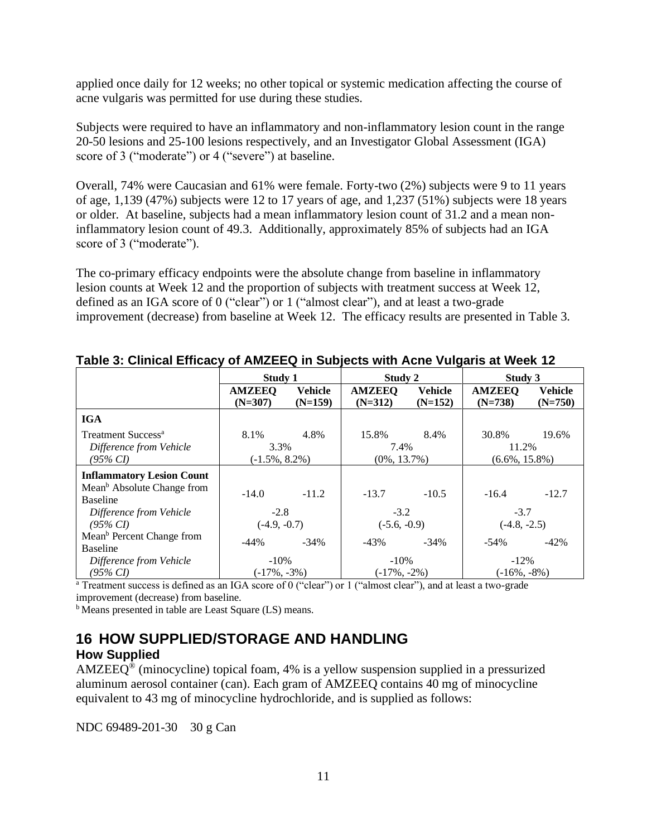applied once daily for 12 weeks; no other topical or systemic medication affecting the course of acne vulgaris was permitted for use during these studies.

Subjects were required to have an inflammatory and non-inflammatory lesion count in the range 20-50 lesions and 25-100 lesions respectively, and an Investigator Global Assessment (IGA) score of 3 ("moderate") or 4 ("severe") at baseline.

Overall, 74% were Caucasian and 61% were female. Forty-two (2%) subjects were 9 to 11 years of age, 1,139 (47%) subjects were 12 to 17 years of age, and 1,237 (51%) subjects were 18 years or older. At baseline, subjects had a mean inflammatory lesion count of 31.2 and a mean noninflammatory lesion count of 49.3. Additionally, approximately 85% of subjects had an IGA score of 3 ("moderate").

The co-primary efficacy endpoints were the absolute change from baseline in inflammatory lesion counts at Week 12 and the proportion of subjects with treatment success at Week 12, defined as an IGA score of 0 ("clear") or 1 ("almost clear"), and at least a two-grade improvement (decrease) from baseline at Week 12. The efficacy results are presented in Table 3.

|                                                                             | Study 1                                   |                             | Study 2                                  |                             | Study 3                                      |                             |
|-----------------------------------------------------------------------------|-------------------------------------------|-----------------------------|------------------------------------------|-----------------------------|----------------------------------------------|-----------------------------|
|                                                                             | <b>AMZEEQ</b><br>$(N=307)$                | <b>Vehicle</b><br>$(N=159)$ | <b>AMZEEQ</b><br>$(N=312)$               | <b>Vehicle</b><br>$(N=152)$ | <b>AMZEEQ</b><br>$(N=738)$                   | <b>Vehicle</b><br>$(N=750)$ |
| <b>IGA</b>                                                                  |                                           |                             |                                          |                             |                                              |                             |
| Treatment Success <sup>a</sup><br>Difference from Vehicle<br>$(95\% \, CI)$ | 8.1%<br>4.8%<br>3.3%<br>$(-1.5\%, 8.2\%)$ |                             | 15.8%<br>8.4%<br>7.4%<br>$(0\%, 13.7\%)$ |                             | 19.6%<br>30.8%<br>11.2%<br>$(6.6\%, 15.8\%)$ |                             |
| <b>Inflammatory Lesion Count</b>                                            |                                           |                             |                                          |                             |                                              |                             |
| Mean <sup>b</sup> Absolute Change from<br><b>Baseline</b>                   | $-14.0$                                   | $-11.2$                     | $-13.7$                                  | $-10.5$                     | $-16.4$                                      | $-12.7$                     |
| Difference from Vehicle                                                     | $-2.8$                                    |                             | $-3.2$                                   |                             | $-3.7$                                       |                             |
| $(95\% \, CI)$                                                              | $(-4.9, -0.7)$                            |                             | $(-5.6, -0.9)$                           |                             | $(-4.8, -2.5)$                               |                             |
| Mean <sup>b</sup> Percent Change from<br><b>Baseline</b>                    | -44%                                      | $-34\%$                     | $-43%$                                   | $-34\%$                     | -54%                                         | $-42%$                      |
| Difference from Vehicle                                                     | $-10\%$                                   |                             | $-10\%$                                  |                             | $-12\%$                                      |                             |
| $(95\% CI)$                                                                 | $(-17\%, -3\%)$                           |                             | $(-17\%, -2\%)$                          |                             | $(-16\%, -8\%)$                              |                             |

**Table 3: Clinical Efficacy of AMZEEQ in Subjects with Acne Vulgaris at Week 12**

<sup>a</sup> Treatment success is defined as an IGA score of 0 ("clear") or 1 ("almost clear"), and at least a two-grade improvement (decrease) from baseline.

<sup>b</sup> Means presented in table are Least Square (LS) means.

# <span id="page-10-0"></span>**16 HOW SUPPLIED/STORAGE AND HANDLING**

### **How Supplied**

 $AMZEEQ^@$  (minocycline) topical foam, 4% is a yellow suspension supplied in a pressurized aluminum aerosol container (can). Each gram of AMZEEQ contains 40 mg of minocycline equivalent to 43 mg of minocycline hydrochloride, and is supplied as follows:

NDC 69489-201-30 30 g Can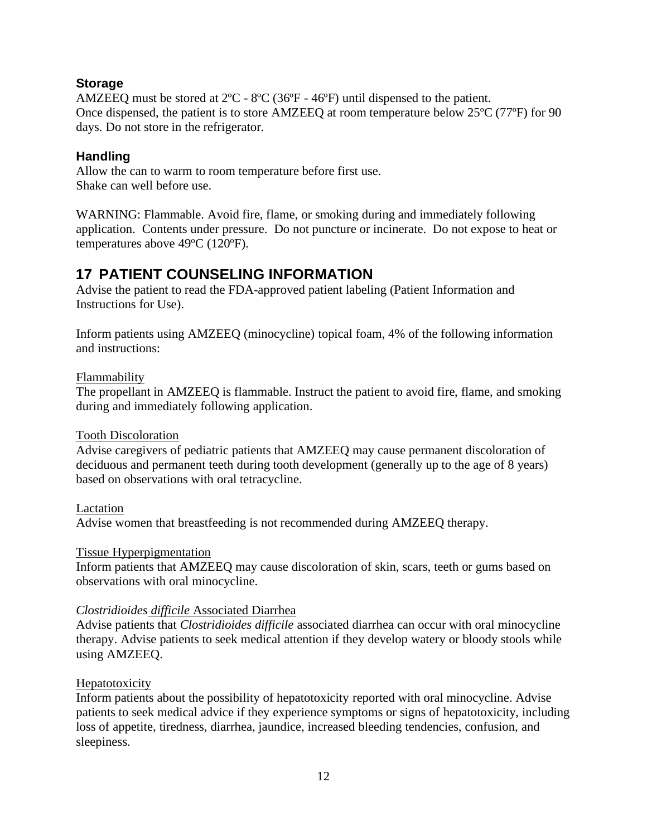## **Storage**

AMZEEQ must be stored at 2ºC - 8ºC (36ºF - 46ºF) until dispensed to the patient. Once dispensed, the patient is to store AMZEEQ at room temperature below 25ºC (77ºF) for 90 days. Do not store in the refrigerator.

## **Handling**

Allow the can to warm to room temperature before first use. Shake can well before use.

WARNING: Flammable. Avoid fire, flame, or smoking during and immediately following application. Contents under pressure. Do not puncture or incinerate. Do not expose to heat or temperatures above  $49^{\circ}$ C (120 $^{\circ}$ F).

# <span id="page-11-0"></span>**17 PATIENT COUNSELING INFORMATION**

Advise the patient to read the FDA-approved patient labeling (Patient Information and Instructions for Use).

Inform patients using AMZEEQ (minocycline) topical foam, 4% of the following information and instructions:

### **Flammability**

The propellant in AMZEEQ is flammable. Instruct the patient to avoid fire, flame, and smoking during and immediately following application.

### Tooth Discoloration

Advise caregivers of pediatric patients that AMZEEQ may cause permanent discoloration of deciduous and permanent teeth during tooth development (generally up to the age of 8 years) based on observations with oral tetracycline.

### Lactation

Advise women that breastfeeding is not recommended during AMZEEQ therapy.

### Tissue Hyperpigmentation

Inform patients that AMZEEQ may cause discoloration of skin, scars, teeth or gums based on observations with oral minocycline.

### *Clostridioides difficile* Associated Diarrhea

Advise patients that *Clostridioides difficile* associated diarrhea can occur with oral minocycline therapy. Advise patients to seek medical attention if they develop watery or bloody stools while using AMZEEQ.

### Hepatotoxicity

Inform patients about the possibility of hepatotoxicity reported with oral minocycline. Advise patients to seek medical advice if they experience symptoms or signs of hepatotoxicity, including loss of appetite, tiredness, diarrhea, jaundice, increased bleeding tendencies, confusion, and sleepiness.